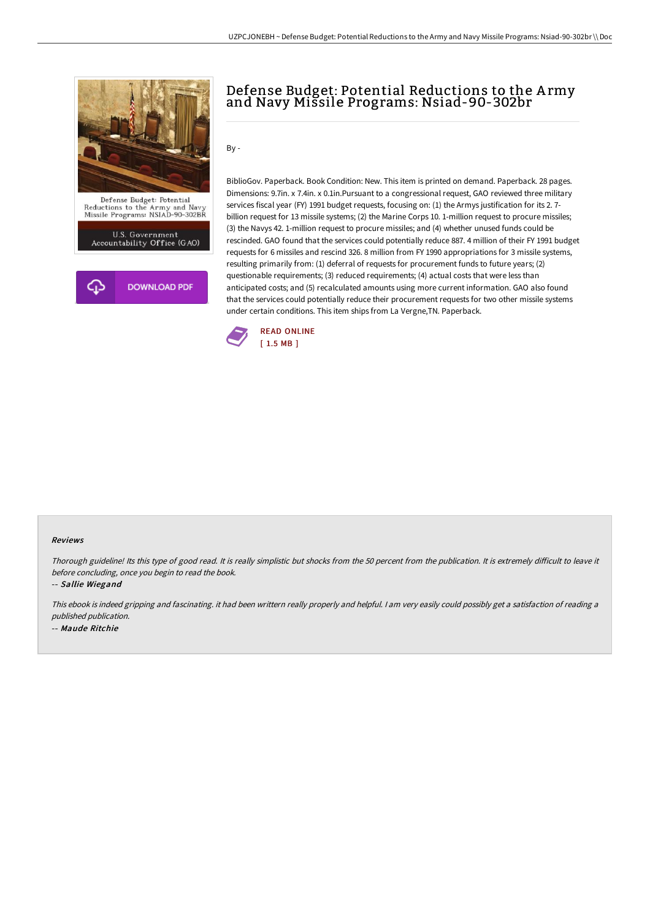

U.S. Government<br>Accountability Office (GAO)



## Defense Budget: Potential Reductions to the A rmy and Navy Missile Programs: Nsiad-90-302br

By -

BiblioGov. Paperback. Book Condition: New. This item is printed on demand. Paperback. 28 pages. Dimensions: 9.7in. x 7.4in. x 0.1in.Pursuant to a congressional request, GAO reviewed three military services fiscal year (FY) 1991 budget requests, focusing on: (1) the Armys justification for its 2. 7 billion request for 13 missile systems; (2) the Marine Corps 10. 1-million request to procure missiles; (3) the Navys 42. 1-million request to procure missiles; and (4) whether unused funds could be rescinded. GAO found that the services could potentially reduce 887. 4 million of their FY 1991 budget requests for 6 missiles and rescind 326. 8 million from FY 1990 appropriations for 3 missile systems, resulting primarily from: (1) deferral of requests for procurement funds to future years; (2) questionable requirements; (3) reduced requirements; (4) actual costs that were less than anticipated costs; and (5) recalculated amounts using more current information. GAO also found that the services could potentially reduce their procurement requests for two other missile systems under certain conditions. This item ships from La Vergne,TN. Paperback.



## Reviews

Thorough guideline! Its this type of good read. It is really simplistic but shocks from the <sup>50</sup> percent from the publication. It is extremely diFicult to leave it before concluding, once you begin to read the book.

-- Sallie Wiegand

This ebook is indeed gripping and fascinating. it had been writtern really properly and helpful. <sup>I</sup> am very easily could possibly get <sup>a</sup> satisfaction of reading <sup>a</sup> published publication. -- Maude Ritchie